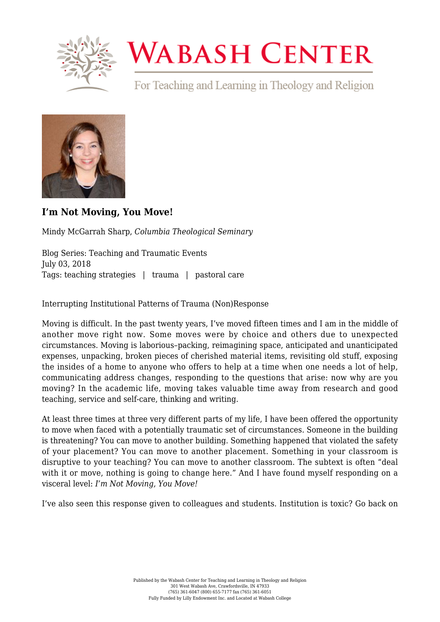

## **WABASH CENTER**

For Teaching and Learning in Theology and Religion



## **[I'm Not Moving, You Move!](https://www.wabashcenter.wabash.edu/2018/07/im-not-moving-you-move/)**

Mindy McGarrah Sharp, *Columbia Theological Seminary*

Blog Series: Teaching and Traumatic Events July 03, 2018 Tags: teaching strategies | trauma | pastoral care

Interrupting Institutional Patterns of Trauma (Non)Response

Moving is difficult. In the past twenty years, I've moved fifteen times and I am in the middle of another move right now. Some moves were by choice and others due to unexpected circumstances. Moving is laborious–packing, reimagining space, anticipated and unanticipated expenses, unpacking, broken pieces of cherished material items, revisiting old stuff, exposing the insides of a home to anyone who offers to help at a time when one needs a lot of help, communicating address changes, responding to the questions that arise: now why are you moving? In the academic life, moving takes valuable time away from research and good teaching, service and self-care, thinking and writing.

At least three times at three very different parts of my life, I have been offered the opportunity to move when faced with a potentially traumatic set of circumstances. Someone in the building is threatening? You can move to another building. Something happened that violated the safety of your placement? You can move to another placement. Something in your classroom is disruptive to your teaching? You can move to another classroom. The subtext is often "deal with it or move, nothing is going to change here." And I have found myself responding on a visceral level: *I'm Not Moving, You Move!*

I've also seen this response given to colleagues and students. Institution is toxic? Go back on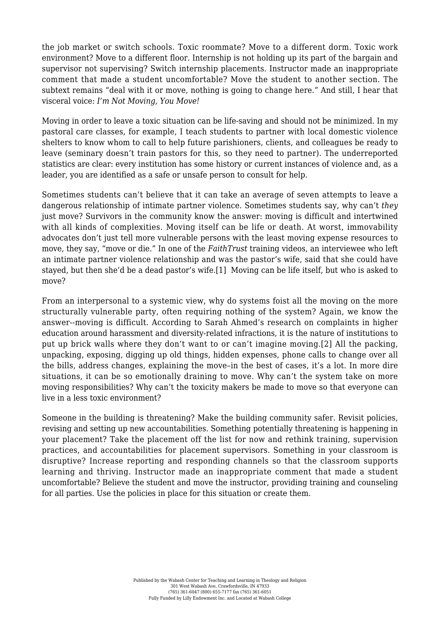the job market or switch schools. Toxic roommate? Move to a different dorm. Toxic work environment? Move to a different floor. Internship is not holding up its part of the bargain and supervisor not supervising? Switch internship placements. Instructor made an inappropriate comment that made a student uncomfortable? Move the student to another section. The subtext remains "deal with it or move, nothing is going to change here." And still, I hear that visceral voice: *I'm Not Moving, You Move!*

Moving in order to leave a toxic situation can be life-saving and should not be minimized. In my pastoral care classes, for example, I teach students to partner with local domestic violence shelters to know whom to call to help future parishioners, clients, and colleagues be ready to leave (seminary doesn't train pastors for this, so they need to partner). The underreported statistics are clear: every institution has some history or current instances of violence and, as a leader, you are identified as a safe or unsafe person to consult for help.

Sometimes students can't believe that it can take an average of seven attempts to leave a dangerous relationship of intimate partner violence. Sometimes students say, why can't *they* just move? Survivors in the community know the answer: moving is difficult and intertwined with all kinds of complexities. Moving itself can be life or death. At worst, immovability advocates don't just tell more vulnerable persons with the least moving expense resources to move, they say, "move or die." In one of the *FaithTrust* training videos, an interviewee who left an intimate partner violence relationship and was the pastor's wife, said that she could have stayed, but then she'd be a dead pastor's wife[.\[1\]](#page-2-0) Moving can be life itself, but who is asked to move?

<span id="page-1-1"></span><span id="page-1-0"></span>From an interpersonal to a systemic view, why do systems foist all the moving on the more structurally vulnerable party, often requiring nothing of the system? Again, we know the answer--moving is difficult. According to Sarah Ahmed's research on complaints in higher education around harassment and diversity-related infractions, it is the nature of institutions to put up brick walls where they don't want to or can't imagine moving.[\[2\]](#page-2-1) All the packing, unpacking, exposing, digging up old things, hidden expenses, phone calls to change over all the bills, address changes, explaining the move–in the best of cases, it's a lot. In more dire situations, it can be so emotionally draining to move. Why can't the system take on more moving responsibilities? Why can't the toxicity makers be made to move so that everyone can live in a less toxic environment?

Someone in the building is threatening? Make the building community safer. Revisit policies, revising and setting up new accountabilities. Something potentially threatening is happening in your placement? Take the placement off the list for now and rethink training, supervision practices, and accountabilities for placement supervisors. Something in your classroom is disruptive? Increase reporting and responding channels so that the classroom supports learning and thriving. Instructor made an inappropriate comment that made a student uncomfortable? Believe the student and move the instructor, providing training and counseling for all parties. Use the policies in place for this situation or create them.